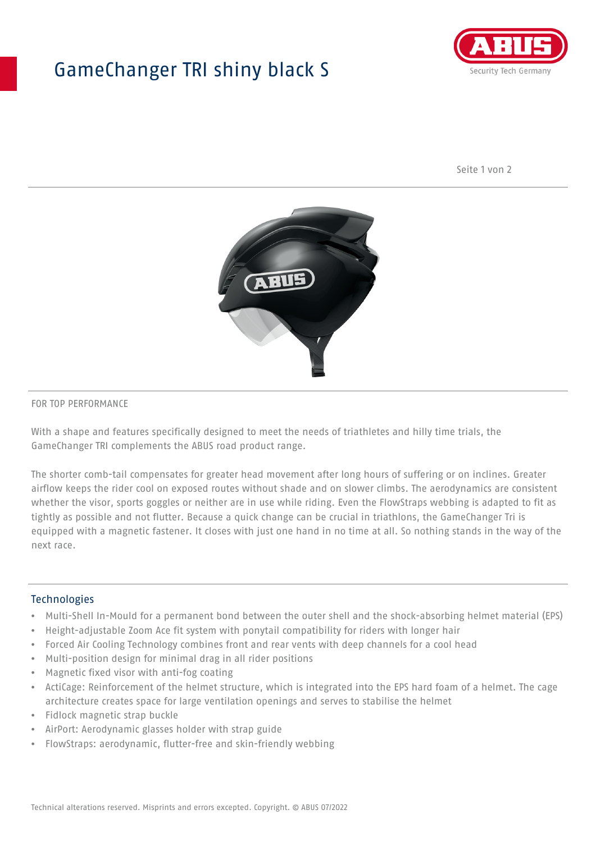## GameChanger TRI shiny black S



Seite 1 von 2



#### FOR TOP PERFORMANCE

With a shape and features specifically designed to meet the needs of triathletes and hilly time trials, the GameChanger TRI complements the ABUS road product range.

The shorter comb-tail compensates for greater head movement after long hours of suffering or on inclines. Greater airflow keeps the rider cool on exposed routes without shade and on slower climbs. The aerodynamics are consistent whether the visor, sports goggles or neither are in use while riding. Even the FlowStraps webbing is adapted to fit as tightly as possible and not flutter. Because a quick change can be crucial in triathlons, the GameChanger Tri is equipped with a magnetic fastener. It closes with just one hand in no time at all. So nothing stands in the way of the next race.

#### **Technologies**

- Multi-Shell In-Mould for a permanent bond between the outer shell and the shock-absorbing helmet material (EPS)
- Height-adjustable Zoom Ace fit system with ponytail compatibility for riders with longer hair
- Forced Air Cooling Technology combines front and rear vents with deep channels for a cool head
- Multi-position design for minimal drag in all rider positions
- Magnetic fixed visor with anti-fog coating
- ActiCage: Reinforcement of the helmet structure, which is integrated into the EPS hard foam of a helmet. The cage architecture creates space for large ventilation openings and serves to stabilise the helmet
- Fidlock magnetic strap buckle
- AirPort: Aerodynamic glasses holder with strap guide
- FlowStraps: aerodynamic, flutter-free and skin-friendly webbing